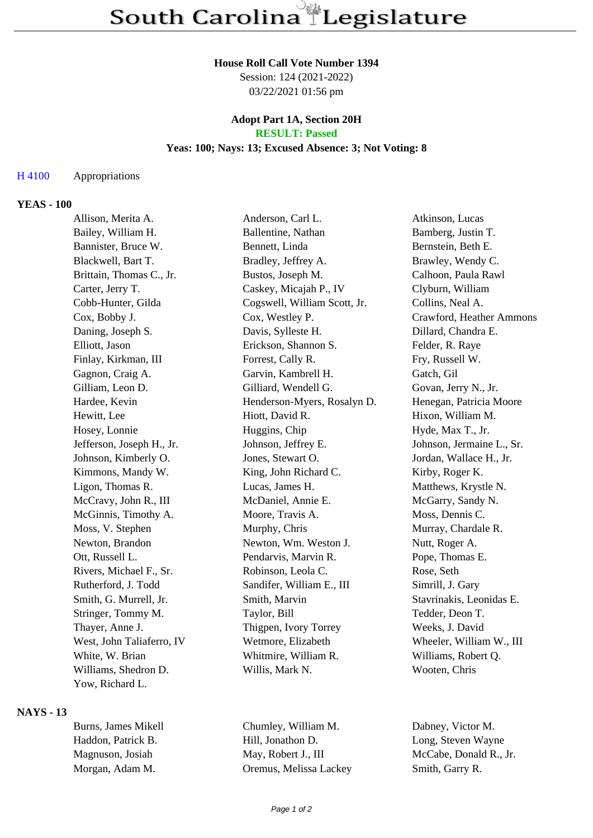#### **House Roll Call Vote Number 1394**

Session: 124 (2021-2022) 03/22/2021 01:56 pm

#### **Adopt Part 1A, Section 20H RESULT: Passed**

# **Yeas: 100; Nays: 13; Excused Absence: 3; Not Voting: 8**

## H 4100 Appropriations

#### **YEAS - 100**

| Allison, Merita A.        | Anderson, Carl L.            | Atkinson, Lucas           |
|---------------------------|------------------------------|---------------------------|
| Bailey, William H.        | Ballentine, Nathan           | Bamberg, Justin T.        |
| Bannister, Bruce W.       | Bennett, Linda               | Bernstein, Beth E.        |
| Blackwell, Bart T.        | Bradley, Jeffrey A.          | Brawley, Wendy C.         |
| Brittain, Thomas C., Jr.  | Bustos, Joseph M.            | Calhoon, Paula Rawl       |
| Carter, Jerry T.          | Caskey, Micajah P., IV       | Clyburn, William          |
| Cobb-Hunter, Gilda        | Cogswell, William Scott, Jr. | Collins, Neal A.          |
| Cox, Bobby J.             | Cox, Westley P.              | Crawford, Heather Ammons  |
| Daning, Joseph S.         | Davis, Sylleste H.           | Dillard, Chandra E.       |
| Elliott, Jason            | Erickson, Shannon S.         | Felder, R. Raye           |
| Finlay, Kirkman, III      | Forrest, Cally R.            | Fry, Russell W.           |
| Gagnon, Craig A.          | Garvin, Kambrell H.          | Gatch, Gil                |
| Gilliam, Leon D.          | Gilliard, Wendell G.         | Govan, Jerry N., Jr.      |
| Hardee, Kevin             | Henderson-Myers, Rosalyn D.  | Henegan, Patricia Moore   |
| Hewitt, Lee               | Hiott, David R.              | Hixon, William M.         |
| Hosey, Lonnie             | Huggins, Chip                | Hyde, Max T., Jr.         |
| Jefferson, Joseph H., Jr. | Johnson, Jeffrey E.          | Johnson, Jermaine L., Sr. |
| Johnson, Kimberly O.      | Jones, Stewart O.            | Jordan, Wallace H., Jr.   |
| Kimmons, Mandy W.         | King, John Richard C.        | Kirby, Roger K.           |
| Ligon, Thomas R.          | Lucas, James H.              | Matthews, Krystle N.      |
| McCravy, John R., III     | McDaniel, Annie E.           | McGarry, Sandy N.         |
| McGinnis, Timothy A.      | Moore, Travis A.             | Moss, Dennis C.           |
| Moss, V. Stephen          | Murphy, Chris                | Murray, Chardale R.       |
| Newton, Brandon           | Newton, Wm. Weston J.        | Nutt, Roger A.            |
| Ott, Russell L.           | Pendarvis, Marvin R.         | Pope, Thomas E.           |
| Rivers, Michael F., Sr.   | Robinson, Leola C.           | Rose, Seth                |
| Rutherford, J. Todd       | Sandifer, William E., III    | Simrill, J. Gary          |
| Smith, G. Murrell, Jr.    | Smith, Marvin                | Stavrinakis, Leonidas E.  |
| Stringer, Tommy M.        | Taylor, Bill                 | Tedder, Deon T.           |
| Thayer, Anne J.           | Thigpen, Ivory Torrey        | Weeks, J. David           |
| West, John Taliaferro, IV | Wetmore, Elizabeth           | Wheeler, William W., III  |
| White, W. Brian           | Whitmire, William R.         | Williams, Robert Q.       |
| Williams, Shedron D.      | Willis, Mark N.              | Wooten, Chris             |
| Yow, Richard L.           |                              |                           |

## **NAYS - 13**

| Burns, James Mikell | Chumley, W    |
|---------------------|---------------|
| Haddon, Patrick B.  | Hill, Jonatho |
| Magnuson, Josiah    | May, Robert   |
| Morgan, Adam M.     | Oremus, Me    |
|                     |               |

Hissa Lackey Smith, Garry R.

Filliam M. Dabney, Victor M. Iong, Steven Wayne J., III McCabe, Donald R., Jr.